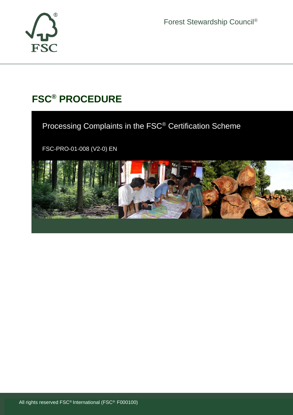

Forest Stewardship Council®

# **FSC® PROCEDURE**

Processing Complaints in the FSC® Certification Scheme

FSC-PRO-01-008 (V2-0) EN

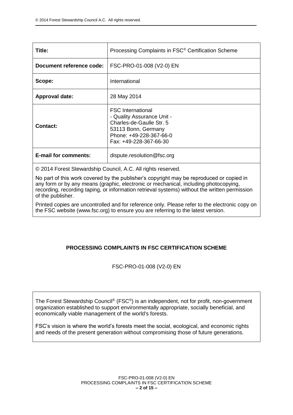| Title:                      | Processing Complaints in FSC <sup>®</sup> Certification Scheme                                                                                                 |
|-----------------------------|----------------------------------------------------------------------------------------------------------------------------------------------------------------|
| Document reference code:    | FSC-PRO-01-008 (V2-0) EN                                                                                                                                       |
| Scope:                      | International                                                                                                                                                  |
| <b>Approval date:</b>       | 28 May 2014                                                                                                                                                    |
| Contact:                    | <b>FSC International</b><br>- Quality Assurance Unit -<br>Charles-de-Gaulle Str. 5<br>53113 Bonn, Germany<br>Phone: +49-228-367-66-0<br>Fax: +49-228-367-66-30 |
| <b>E-mail for comments:</b> | dispute.resolution@fsc.org                                                                                                                                     |

© 2014 Forest Stewardship Council, A.C. All rights reserved.

No part of this work covered by the publisher's copyright may be reproduced or copied in any form or by any means (graphic, electronic or mechanical, including photocopying, recording, recording taping, or information retrieval systems) without the written permission of the publisher.

Printed copies are uncontrolled and for reference only. Please refer to the electronic copy on the FSC website (www.fsc.org) to ensure you are referring to the latest version.

# **PROCESSING COMPLAINTS IN FSC CERTIFICATION SCHEME**

FSC-PRO-01-008 (V2-0) EN

The Forest Stewardship Council® (FSC®) is an independent, not for profit, non-government organization established to support environmentally appropriate, socially beneficial, and economically viable management of the world's forests.

FSC's vision is where the world's forests meet the social, ecological, and economic rights and needs of the present generation without compromising those of future generations.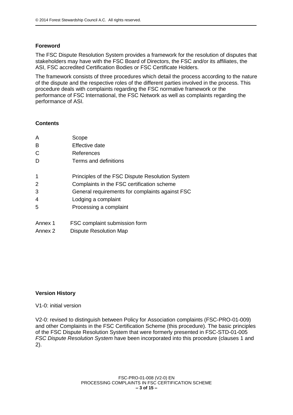#### **Foreword**

The FSC Dispute Resolution System provides a framework for the resolution of disputes that stakeholders may have with the FSC Board of Directors, the FSC and/or its affiliates, the ASI, FSC accredited Certification Bodies or FSC Certificate Holders.

The framework consists of three procedures which detail the process according to the nature of the dispute and the respective roles of the different parties involved in the process. This procedure deals with complaints regarding the FSC normative framework or the performance of FSC International, the FSC Network as well as complaints regarding the performance of ASI.

#### **Contents**

| A       | Scope                                           |
|---------|-------------------------------------------------|
| B       | Effective date                                  |
| C       | References                                      |
| D       | Terms and definitions                           |
| 1       | Principles of the FSC Dispute Resolution System |
| 2       | Complaints in the FSC certification scheme      |
| 3       | General requirements for complaints against FSC |
| 4       | Lodging a complaint                             |
| 5       | Processing a complaint                          |
| Annex 1 | FSC complaint submission form                   |
|         |                                                 |

Annex 2 Dispute Resolution Map

## **Version History**

#### V1-0: initial version

V2-0: revised to distinguish between Policy for Association complaints (FSC-PRO-01-009) and other Complaints in the FSC Certification Scheme (this procedure). The basic principles of the FSC Dispute Resolution System that were formerly presented in FSC-STD-01-005 *FSC Dispute Resolution System* have been incorporated into this procedure (clauses 1 and 2).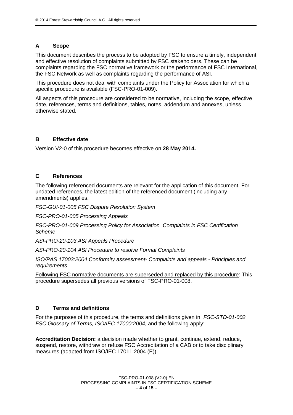## **A Scope**

This document describes the process to be adopted by FSC to ensure a timely, independent and effective resolution of complaints submitted by FSC stakeholders. These can be complaints regarding the FSC normative framework or the performance of FSC International, the FSC Network as well as complaints regarding the performance of ASI.

This procedure does not deal with complaints under the Policy for Association for which a specific procedure is available (FSC-PRO-01-009).

All aspects of this procedure are considered to be normative, including the scope, effective date, references, terms and definitions, tables, notes, addendum and annexes, unless otherwise stated.

#### **B Effective date**

Version V2-0 of this procedure becomes effective on **28 May 2014.**

### **C References**

The following referenced documents are relevant for the application of this document. For undated references, the latest edition of the referenced document (including any amendments) applies.

*FSC-GUI-01-005 FSC Dispute Resolution System*

*FSC-PRO-01-005 Processing Appeals*

*FSC-PRO-01-009 Processing Policy for Association Complaints in FSC Certification Scheme*

*ASI-PRO-20-103 ASI Appeals Procedure*

*ASI-PRO-20-104 ASI Procedure to resolve Formal Complaints*

*ISO/PAS 17003:2004 Conformity assessment- Complaints and appeals - Principles and requirements*

Following FSC normative documents are superseded and replaced by this procedure: This procedure supersedes all previous versions of FSC-PRO-01-008.

## **D Terms and definitions**

For the purposes of this procedure, the terms and definitions given in *FSC-STD-01-002 FSC Glossary of Terms, ISO/IEC 17000:2004*, and the following apply:

**Accreditation Decision:** a decision made whether to grant, continue, extend, reduce, suspend, restore, withdraw or refuse FSC Accreditation of a CAB or to take disciplinary measures (adapted from ISO/IEC 17011:2004 (E)).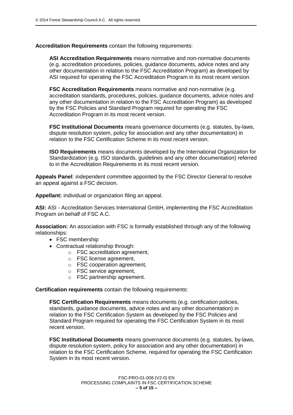**Accreditation Requirements** contain the following requirements:

**ASI Accreditation Requirements** means normative and non-normative documents (e.g. accreditation procedures, policies, guidance documents, advice notes and any other documentation in relation to the FSC Accreditation Program) as developed by ASI required for operating the FSC Accreditation Program in its most recent version.

**FSC Accreditation Requirements** means normative and non-normative (e.g. accreditation standards, procedures, policies, guidance documents, advice notes and any other documentation in relation to the FSC Accreditation Program) as developed by the FSC Policies and Standard Program required for operating the FSC Accreditation Program in its most recent version.

**FSC Institutional Documents** means governance documents (e.g. statutes, by-laws, dispute resolution system, policy for association and any other documentation) in relation to the FSC Certification Scheme in its most recent version.

**ISO Requirements** means documents developed by the International Organization for Standardization (e.g. ISO standards, guidelines and any other documentation) referred to in the Accreditation Requirements in its most recent version.

**Appeals Panel**: independent committee appointed by the FSC Director General to resolve an appeal against a FSC decision.

**Appellant:** individual or organization filing an appeal.

**ASI:** ASI - Accreditation Services International GmbH, implementing the FSC Accreditation Program on behalf of FSC A.C.

**Association:** An association with FSC is formally established through any of the following relationships:

- FSC membership
- Contractual relationship through:
	- o FSC accreditation agreement,
	- o FSC license agreement,
	- o FSC cooperation agreement,
	- o FSC service agreement,
	- o FSC partnership agreement.

**Certification requirements** contain the following requirements:

**FSC Certification Requirements** means documents (e.g. certification policies, standards, guidance documents, advice notes and any other documentation) in relation to the FSC Certification System as developed by the FSC Policies and Standard Program required for operating the FSC Certification System in its most recent version.

**FSC Institutional Documents** means governance documents (e.g. statutes, by-laws, dispute resolution system, policy for association and any other documentation) in relation to the FSC Certification Scheme, required for operating the FSC Certification System in its most recent version.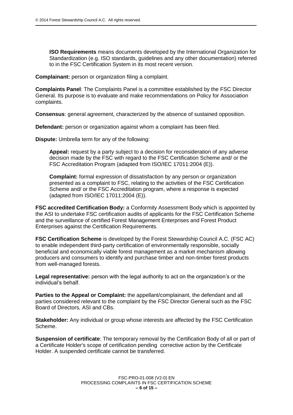**ISO Requirements** means documents developed by the International Organization for Standardization (e.g. ISO standards, guidelines and any other documentation) referred to in the FSC Certification System in its most recent version.

**Complainant:** person or organization filing a complaint.

**Complaints Panel**: The Complaints Panel is a committee established by the FSC Director General. Its purpose is to evaluate and make recommendations on Policy for Association complaints.

**Consensus**: general agreement, characterized by the absence of sustained opposition.

**Defendant:** person or organization against whom a complaint has been filed.

**Dispute:** Umbrella term for any of the following:

**Appeal:** request by a party subject to a decision for reconsideration of any adverse decision made by the FSC with regard to the FSC Certification Scheme and/ or the FSC Accreditation Program (adapted from ISO/IEC 17011:2004 (E)).

**Complaint:** formal expression of dissatisfaction by any person or organization presented as a complaint to FSC, relating to the activities of the FSC Certification Scheme and/ or the FSC Accreditation program, where a response is expected (adapted from ISO/IEC 17011:2004 (E)).

**FSC accredited Certification Body:** a Conformity Assessment Body which is appointed by the ASI to undertake FSC certification audits of applicants for the FSC Certification Scheme and the surveillance of certified Forest Management Enterprises and Forest Product Enterprises against the Certification Requirements.

**FSC Certification Scheme** is developed by the Forest Stewardship Council A.C. (FSC AC) to enable independent third-party certification of environmentally responsible, socially beneficial and economically viable forest management as a market mechanism allowing producers and consumers to identify and purchase timber and non-timber forest products from well-managed forests.

**Legal representative:** person with the legal authority to act on the organization's or the individual's behalf.

**Parties to the Appeal or Complaint:** the appellant/complainant, the defendant and all parties considered relevant to the complaint by the FSC Director General such as the FSC Board of Directors, ASI and CBs.

**Stakeholder:** Any individual or group whose interests are affected by the FSC Certification Scheme.

**Suspension of certificate**: The temporary removal by the Certification Body of all or part of a Certificate Holder's scope of certification pending corrective action by the Certificate Holder. A suspended certificate cannot be transferred.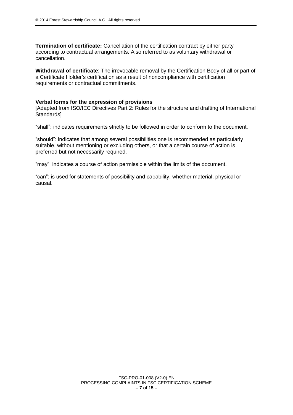**Termination of certificate:** Cancellation of the certification contract by either party according to contractual arrangements. Also referred to as voluntary withdrawal or cancellation.

**Withdrawal of certificate**: The irrevocable removal by the Certification Body of all or part of a Certificate Holder's certification as a result of noncompliance with certification requirements or contractual commitments.

#### **Verbal forms for the expression of provisions**

[Adapted from ISO/IEC Directives Part 2: Rules for the structure and drafting of International Standards]

"shall": indicates requirements strictly to be followed in order to conform to the document.

"should": indicates that among several possibilities one is recommended as particularly suitable, without mentioning or excluding others, or that a certain course of action is preferred but not necessarily required.

"may": indicates a course of action permissible within the limits of the document.

"can": is used for statements of possibility and capability, whether material, physical or causal.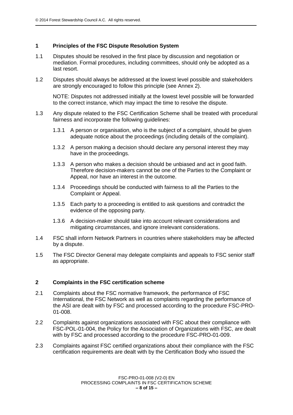### **1 Principles of the FSC Dispute Resolution System**

- 1.1 Disputes should be resolved in the first place by discussion and negotiation or mediation. Formal procedures, including committees, should only be adopted as a last resort.
- 1.2 Disputes should always be addressed at the lowest level possible and stakeholders are strongly encouraged to follow this principle (see Annex 2).

NOTE: Disputes not addressed initially at the lowest level possible will be forwarded to the correct instance, which may impact the time to resolve the dispute.

- 1.3 Any dispute related to the FSC Certification Scheme shall be treated with procedural fairness and incorporate the following guidelines:
	- 1.3.1 A person or organisation, who is the subject of a complaint, should be given adequate notice about the proceedings (including details of the complaint).
	- 1.3.2 A person making a decision should declare any personal interest they may have in the proceedings.
	- 1.3.3 A person who makes a decision should be unbiased and act in good faith. Therefore decision-makers cannot be one of the Parties to the Complaint or Appeal, nor have an interest in the outcome.
	- 1.3.4 Proceedings should be conducted with fairness to all the Parties to the Complaint or Appeal.
	- 1.3.5 Each party to a proceeding is entitled to ask questions and contradict the evidence of the opposing party.
	- 1.3.6 A decision-maker should take into account relevant considerations and mitigating circumstances, and ignore irrelevant considerations.
- 1.4 FSC shall inform Network Partners in countries where stakeholders may be affected by a dispute.
- 1.5 The FSC Director General may delegate complaints and appeals to FSC senior staff as appropriate.

#### **2 Complaints in the FSC certification scheme**

- 2.1 Complaints about the FSC normative framework, the performance of FSC International, the FSC Network as well as complaints regarding the performance of the ASI are dealt with by FSC and processed according to the procedure FSC-PRO-01-008.
- 2.2 Complaints against organizations associated with FSC about their compliance with FSC-POL-01-004, the Policy for the Association of Organizations with FSC, are dealt with by FSC and processed according to the procedure FSC-PRO-01-009.
- 2.3 Complaints against FSC certified organizations about their compliance with the FSC certification requirements are dealt with by the Certification Body who issued the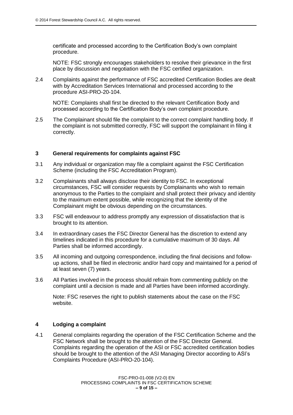certificate and processed according to the Certification Body's own complaint procedure.

NOTE: FSC strongly encourages stakeholders to resolve their grievance in the first place by discussion and negotiation with the FSC certified organization.

2.4 Complaints against the performance of FSC accredited Certification Bodies are dealt with by Accreditation Services International and processed according to the procedure ASI-PRO-20-104.

NOTE: Complaints shall first be directed to the relevant Certification Body and processed according to the Certification Body's own complaint procedure.

2.5 The Complainant should file the complaint to the correct complaint handling body. If the complaint is not submitted correctly, FSC will support the complainant in filing it correctly.

#### **3 General requirements for complaints against FSC**

- 3.1 Any individual or organization may file a complaint against the FSC Certification Scheme (including the FSC Accreditation Program).
- 3.2 Complainants shall always disclose their identity to FSC. In exceptional circumstances, FSC will consider requests by Complainants who wish to remain anonymous to the Parties to the complaint and shall protect their privacy and identity to the maximum extent possible, while recognizing that the identity of the Complainant might be obvious depending on the circumstances.
- 3.3 FSC will endeavour to address promptly any expression of dissatisfaction that is brought to its attention.
- 3.4 In extraordinary cases the FSC Director General has the discretion to extend any timelines indicated in this procedure for a cumulative maximum of 30 days. All Parties shall be informed accordingly.
- 3.5 All incoming and outgoing correspondence, including the final decisions and followup actions, shall be filed in electronic and/or hard copy and maintained for a period of at least seven (7) years.
- 3.6 All Parties involved in the process should refrain from commenting publicly on the complaint until a decision is made and all Parties have been informed accordingly.

Note: FSC reserves the right to publish statements about the case on the FSC website.

#### **4 Lodging a complaint**

4.1 General complaints regarding the operation of the FSC Certification Scheme and the FSC Network shall be brought to the attention of the FSC Director General. Complaints regarding the operation of the ASI or FSC accredited certification bodies should be brought to the attention of the ASI Managing Director according to ASI's Complaints Procedure (ASI*-*PRO-20-104).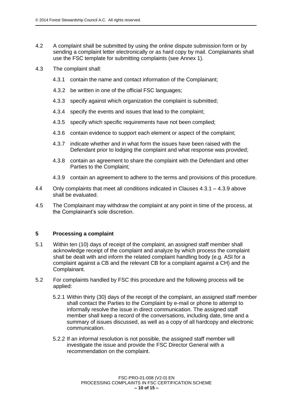- 4.2 A complaint shall be submitted by using the online dispute submission form or by sending a complaint letter electronically or as hard copy by mail. Complainants shall use the FSC template for submitting complaints (see Annex 1).
- 4.3 The complaint shall:
	- 4.3.1 contain the name and contact information of the Complainant;
	- 4.3.2 be written in one of the official FSC languages;
	- 4.3.3 specify against which organization the complaint is submitted;
	- 4.3.4 specify the events and issues that lead to the complaint;
	- 4.3.5 specify which specific requirements have not been complied;
	- 4.3.6 contain evidence to support each element or aspect of the complaint;
	- 4.3.7 indicate whether and in what form the issues have been raised with the Defendant prior to lodging the complaint and what response was provided;
	- 4.3.8 contain an agreement to share the complaint with the Defendant and other Parties to the Complaint;
	- 4.3.9 contain an agreement to adhere to the terms and provisions of this procedure.
- 4.4 Only complaints that meet all conditions indicated in Clauses 4.3.1 4.3.9 above shall be evaluated.
- 4.5 The Complainant may withdraw the complaint at any point in time of the process, at the Complainant's sole discretion.

## **5 Processing a complaint**

- 5.1 Within ten (10) days of receipt of the complaint, an assigned staff member shall acknowledge receipt of the complaint and analyze by which process the complaint shall be dealt with and inform the related complaint handling body (e.g. ASI for a complaint against a CB and the relevant CB for a complaint against a CH) and the Complainant.
- 5.2 For complaints handled by FSC this procedure and the following process will be applied:
	- 5.2.1 Within thirty (30) days of the receipt of the complaint, an assigned staff member shall contact the Parties to the Complaint by e-mail or phone to attempt to informally resolve the issue in direct communication. The assigned staff member shall keep a record of the conversations, including date, time and a summary of issues discussed, as well as a copy of all hardcopy and electronic communication.
	- 5.2.2 If an informal resolution is not possible, the assigned staff member will investigate the issue and provide the FSC Director General with a recommendation on the complaint.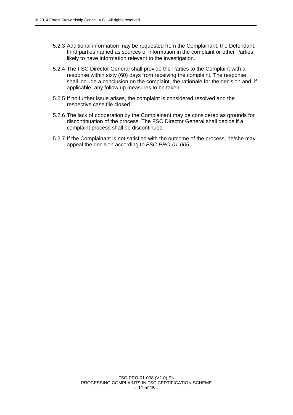- 5.2.3 Additional information may be requested from the Complainant, the Defendant, third parties named as sources of information in the complaint or other Parties likely to have information relevant to the investigation.
- 5.2.4 The FSC Director General shall provide the Parties to the Complaint with a response within sixty (60) days from receiving the complaint. The response shall include a conclusion on the complaint, the rationale for the decision and, if applicable, any follow up measures to be taken.
- 5.2.5 If no further issue arises, the complaint is considered resolved and the respective case file closed.
- 5.2.6 The lack of cooperation by the Complainant may be considered as grounds for discontinuation of the process. The FSC Director General shall decide if a complaint process shall be discontinued.
- 5.2.7 If the Complainant is not satisfied with the outcome of the process, he/she may appeal the decision according to *FSC-PRO-01-005*.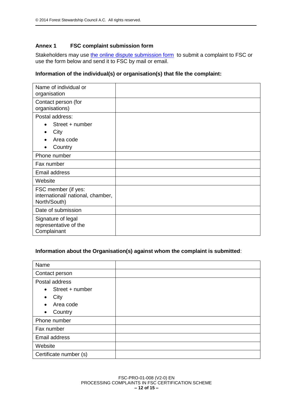## **Annex 1 FSC complaint submission form**

Stakeholders may use [the online dispute submission form](https://ic.fsc.org/dispute-submission-form.170.htm) to submit a complaint to FSC or use the form below and send it to FSC by mail or email.

## **Information of the individual(s) or organisation(s) that file the complaint:**

| Name of individual or<br>organisation                                    |  |
|--------------------------------------------------------------------------|--|
| Contact person (for<br>organisations)                                    |  |
| Postal address:                                                          |  |
| Street + number<br>$\bullet$                                             |  |
| City                                                                     |  |
| Area code                                                                |  |
| Country<br>$\bullet$                                                     |  |
| Phone number                                                             |  |
| Fax number                                                               |  |
| Email address                                                            |  |
| Website                                                                  |  |
| FSC member (if yes:<br>international/ national, chamber,<br>North/South) |  |
| Date of submission                                                       |  |
| Signature of legal<br>representative of the<br>Complainant               |  |

# **Information about the Organisation(s) against whom the complaint is submitted**:

| Name                         |  |
|------------------------------|--|
| Contact person               |  |
| Postal address               |  |
| Street + number<br>$\bullet$ |  |
| City                         |  |
| Area code<br>$\bullet$       |  |
| Country<br>$\bullet$         |  |
| Phone number                 |  |
| Fax number                   |  |
| Email address                |  |
| Website                      |  |
| Certificate number (s)       |  |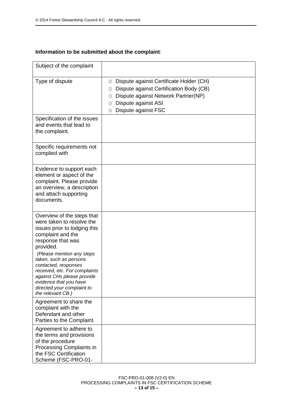# **Information to be submitted about the complaint**:

| Subject of the complaint                                                                                                                                                                                                                                                                                                                                                  |                                                                                                                                                                                                  |
|---------------------------------------------------------------------------------------------------------------------------------------------------------------------------------------------------------------------------------------------------------------------------------------------------------------------------------------------------------------------------|--------------------------------------------------------------------------------------------------------------------------------------------------------------------------------------------------|
| Type of dispute                                                                                                                                                                                                                                                                                                                                                           | Dispute against Certificate Holder (CH)<br>0<br>Dispute against Certification Body (CB)<br>O<br>Dispute against Network Partner(NP)<br>O<br>Dispute against ASI<br>Ο<br>Dispute against FSC<br>Ο |
| Specification of the issues<br>and events that lead to<br>the complaint.                                                                                                                                                                                                                                                                                                  |                                                                                                                                                                                                  |
| Specific requirements not<br>complied with                                                                                                                                                                                                                                                                                                                                |                                                                                                                                                                                                  |
| Evidence to support each<br>element or aspect of the<br>complaint. Please provide<br>an overview, a description<br>and attach supporting<br>documents.                                                                                                                                                                                                                    |                                                                                                                                                                                                  |
| Overview of the steps that<br>were taken to resolve the<br>issues prior to lodging this<br>complaint and the<br>response that was<br>provided.<br>(Please mention any steps<br>taken, such as persons<br>contacted, responses<br>received, etc. For complaints<br>against CHs please provide<br>evidence that you have<br>directed your complaint to<br>the relevant CB.) |                                                                                                                                                                                                  |
| Agreement to share the<br>complaint with the<br>Defendant and other<br>Parties to the Complaint.                                                                                                                                                                                                                                                                          |                                                                                                                                                                                                  |
| Agreement to adhere to<br>the terms and provisions<br>of the procedure<br>Processing Complaints in<br>the FSC Certification<br>Scheme (FSC-PRO-01-                                                                                                                                                                                                                        |                                                                                                                                                                                                  |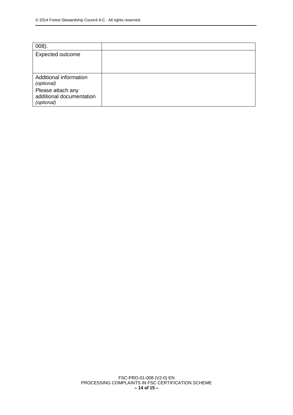| $008$ ).                                                    |  |
|-------------------------------------------------------------|--|
| <b>Expected outcome</b>                                     |  |
| Additional information<br>(optional)                        |  |
| Please attach any<br>additional documentation<br>(optional) |  |